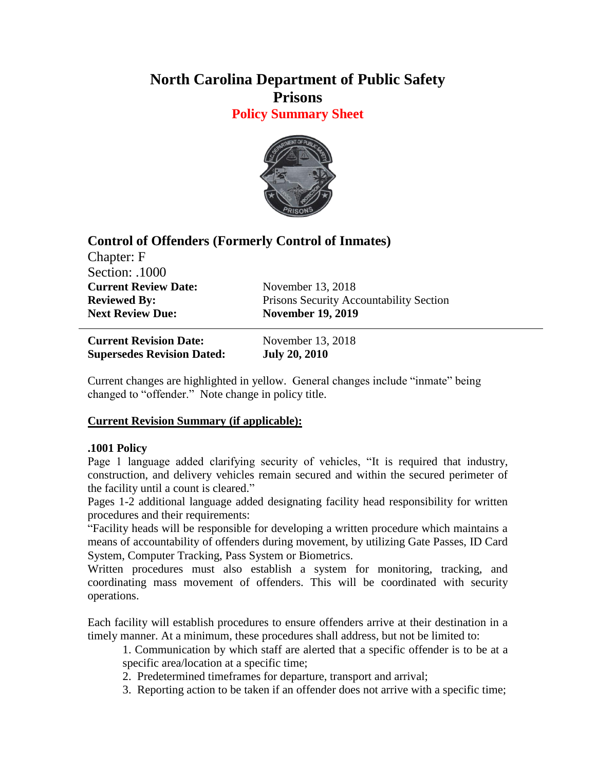# **North Carolina Department of Public Safety Prisons**

**Policy Summary Sheet**



## **Control of Offenders (Formerly Control of Inmates)**

Chapter: F Section: .1000 **Current Review Date:** November 13, 2018 **Next Review Due: November 19, 2019** 

**Reviewed By:** Prisons Security Accountability Section

**Current Revision Date:** November 13, 2018 **Supersedes Revision Dated: July 20, 2010**

Current changes are highlighted in yellow. General changes include "inmate" being changed to "offender." Note change in policy title.

### **Current Revision Summary (if applicable):**

### **.1001 Policy**

Page 1 language added clarifying security of vehicles, "It is required that industry, construction, and delivery vehicles remain secured and within the secured perimeter of the facility until a count is cleared."

Pages 1-2 additional language added designating facility head responsibility for written procedures and their requirements:

"Facility heads will be responsible for developing a written procedure which maintains a means of accountability of offenders during movement, by utilizing Gate Passes, ID Card System, Computer Tracking, Pass System or Biometrics.

Written procedures must also establish a system for monitoring, tracking, and coordinating mass movement of offenders. This will be coordinated with security operations.

Each facility will establish procedures to ensure offenders arrive at their destination in a timely manner. At a minimum, these procedures shall address, but not be limited to:

1. Communication by which staff are alerted that a specific offender is to be at a specific area/location at a specific time;

2. Predetermined timeframes for departure, transport and arrival;

3. Reporting action to be taken if an offender does not arrive with a specific time;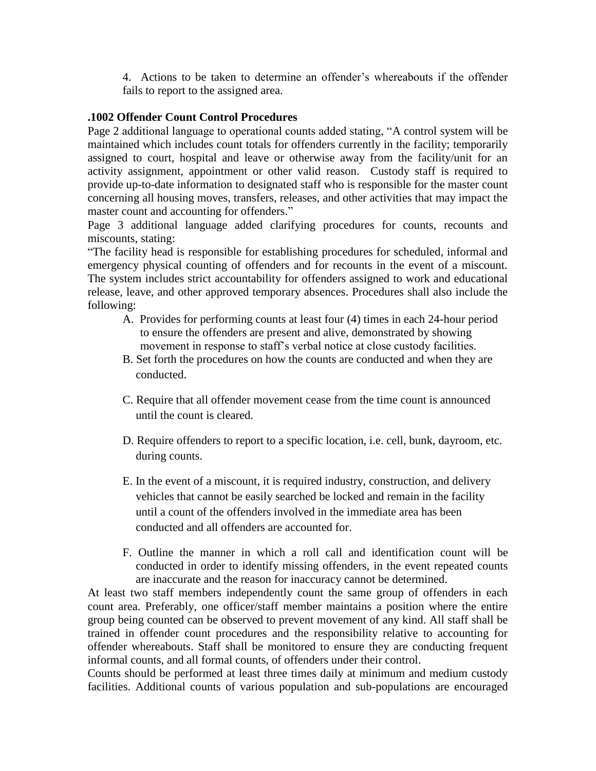4. Actions to be taken to determine an offender's whereabouts if the offender fails to report to the assigned area.

#### **.1002 Offender Count Control Procedures**

Page 2 additional language to operational counts added stating, "A control system will be maintained which includes count totals for offenders currently in the facility; temporarily assigned to court, hospital and leave or otherwise away from the facility/unit for an activity assignment, appointment or other valid reason. Custody staff is required to provide up-to-date information to designated staff who is responsible for the master count concerning all housing moves, transfers, releases, and other activities that may impact the master count and accounting for offenders."

Page 3 additional language added clarifying procedures for counts, recounts and miscounts, stating:

"The facility head is responsible for establishing procedures for scheduled, informal and emergency physical counting of offenders and for recounts in the event of a miscount. The system includes strict accountability for offenders assigned to work and educational release, leave, and other approved temporary absences. Procedures shall also include the following:

- A. Provides for performing counts at least four (4) times in each 24-hour period to ensure the offenders are present and alive, demonstrated by showing movement in response to staff's verbal notice at close custody facilities.
- B. Set forth the procedures on how the counts are conducted and when they are conducted.
- C. Require that all offender movement cease from the time count is announced until the count is cleared.
- D. Require offenders to report to a specific location, i.e. cell, bunk, dayroom, etc. during counts.
- E. In the event of a miscount, it is required industry, construction, and delivery vehicles that cannot be easily searched be locked and remain in the facility until a count of the offenders involved in the immediate area has been conducted and all offenders are accounted for.
- F. Outline the manner in which a roll call and identification count will be conducted in order to identify missing offenders, in the event repeated counts are inaccurate and the reason for inaccuracy cannot be determined.

At least two staff members independently count the same group of offenders in each count area. Preferably, one officer/staff member maintains a position where the entire group being counted can be observed to prevent movement of any kind. All staff shall be trained in offender count procedures and the responsibility relative to accounting for offender whereabouts. Staff shall be monitored to ensure they are conducting frequent informal counts, and all formal counts, of offenders under their control.

Counts should be performed at least three times daily at minimum and medium custody facilities. Additional counts of various population and sub-populations are encouraged